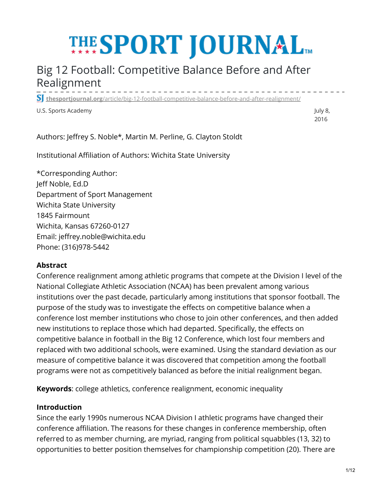# **THE SPORT JOURNAL**

# Big 12 Football: Competitive Balance Before and After Realignment ------------------

**thesportjournal.org**[/article/big-12-football-competitive-balance-before-and-after-realignment/](https://thesportjournal.org/article/big-12-football-competitive-balance-before-and-after-realignment/)

U.S. Sports Academy July 8, and the state of the state of the state of the state of the state of the state of the state of the state of the state of the state of the state of the state of the state of the state of the stat

2016

Authors: Jeffrey S. Noble\*, Martin M. Perline, G. Clayton Stoldt

Institutional Affiliation of Authors: Wichita State University

\*Corresponding Author: Jeff Noble, Ed.D Department of Sport Management Wichita State University 1845 Fairmount Wichita, Kansas 67260-0127 Email: jeffrey.noble@wichita.edu Phone: (316)978-5442

# **Abstract**

Conference realignment among athletic programs that compete at the Division I level of the National Collegiate Athletic Association (NCAA) has been prevalent among various institutions over the past decade, particularly among institutions that sponsor football. The purpose of the study was to investigate the effects on competitive balance when a conference lost member institutions who chose to join other conferences, and then added new institutions to replace those which had departed. Specifically, the effects on competitive balance in football in the Big 12 Conference, which lost four members and replaced with two additional schools, were examined. Using the standard deviation as our measure of competitive balance it was discovered that competition among the football programs were not as competitively balanced as before the initial realignment began.

**Keywords**: college athletics, conference realignment, economic inequality

## **Introduction**

Since the early 1990s numerous NCAA Division I athletic programs have changed their conference affiliation. The reasons for these changes in conference membership, often referred to as member churning, are myriad, ranging from political squabbles (13, 32) to opportunities to better position themselves for championship competition (20). There are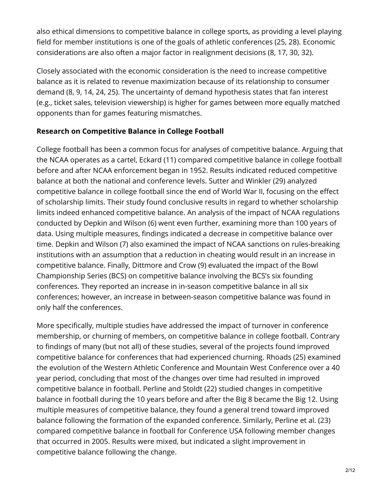also ethical dimensions to competitive balance in college sports, as providing a level playing field for member institutions is one of the goals of athletic conferences (25, 28). Economic considerations are also often a major factor in realignment decisions (8, 17, 30, 32).

Closely associated with the economic consideration is the need to increase competitive balance as it is related to revenue maximization because of its relationship to consumer demand (8, 9, 14, 24, 25). The uncertainty of demand hypothesis states that fan interest (e.g., ticket sales, television viewership) is higher for games between more equally matched opponents than for games featuring mismatches.

# **Research on Competitive Balance in College Football**

College football has been a common focus for analyses of competitive balance. Arguing that the NCAA operates as a cartel, Eckard (11) compared competitive balance in college football before and after NCAA enforcement began in 1952. Results indicated reduced competitive balance at both the national and conference levels. Sutter and Winkler (29) analyzed competitive balance in college football since the end of World War II, focusing on the effect of scholarship limits. Their study found conclusive results in regard to whether scholarship limits indeed enhanced competitive balance. An analysis of the impact of NCAA regulations conducted by Depkin and Wilson (6) went even further, examining more than 100 years of data. Using multiple measures, findings indicated a decrease in competitive balance over time. Depkin and Wilson (7) also examined the impact of NCAA sanctions on rules-breaking institutions with an assumption that a reduction in cheating would result in an increase in competitive balance. Finally, Dittmore and Crow (9) evaluated the impact of the Bowl Championship Series (BCS) on competitive balance involving the BCS's six founding conferences. They reported an increase in in-season competitive balance in all six conferences; however, an increase in between-season competitive balance was found in only half the conferences.

More specifically, multiple studies have addressed the impact of turnover in conference membership, or churning of members, on competitive balance in college football. Contrary to findings of many (but not all) of these studies, several of the projects found improved competitive balance for conferences that had experienced churning. Rhoads (25) examined the evolution of the Western Athletic Conference and Mountain West Conference over a 40 year period, concluding that most of the changes over time had resulted in improved competitive balance in football. Perline and Stoldt (22) studied changes in competitive balance in football during the 10 years before and after the Big 8 became the Big 12. Using multiple measures of competitive balance, they found a general trend toward improved balance following the formation of the expanded conference. Similarly, Perline et al. (23) compared competitive balance in football for Conference USA following member changes that occurred in 2005. Results were mixed, but indicated a slight improvement in competitive balance following the change.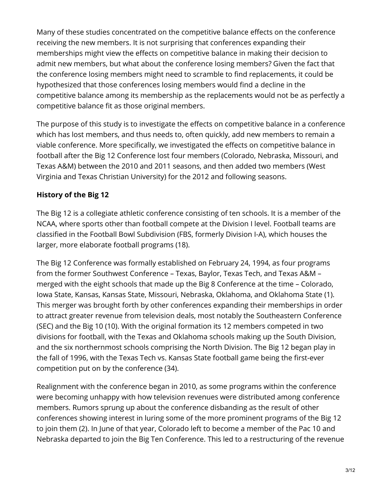Many of these studies concentrated on the competitive balance effects on the conference receiving the new members. It is not surprising that conferences expanding their memberships might view the effects on competitive balance in making their decision to admit new members, but what about the conference losing members? Given the fact that the conference losing members might need to scramble to find replacements, it could be hypothesized that those conferences losing members would find a decline in the competitive balance among its membership as the replacements would not be as perfectly a competitive balance fit as those original members.

The purpose of this study is to investigate the effects on competitive balance in a conference which has lost members, and thus needs to, often quickly, add new members to remain a viable conference. More specifically, we investigated the effects on competitive balance in football after the Big 12 Conference lost four members (Colorado, Nebraska, Missouri, and Texas A&M) between the 2010 and 2011 seasons, and then added two members (West Virginia and Texas Christian University) for the 2012 and following seasons.

# **History of the Big 12**

The Big 12 is a collegiate athletic conference consisting of ten schools. It is a member of the NCAA, where sports other than football compete at the Division I level. Football teams are classified in the Football Bowl Subdivision (FBS, formerly Division I-A), which houses the larger, more elaborate football programs (18).

The Big 12 Conference was formally established on February 24, 1994, as four programs from the former Southwest Conference – Texas, Baylor, Texas Tech, and Texas A&M – merged with the eight schools that made up the Big 8 Conference at the time – Colorado, Iowa State, Kansas, Kansas State, Missouri, Nebraska, Oklahoma, and Oklahoma State (1). This merger was brought forth by other conferences expanding their memberships in order to attract greater revenue from television deals, most notably the Southeastern Conference (SEC) and the Big 10 (10). With the original formation its 12 members competed in two divisions for football, with the Texas and Oklahoma schools making up the South Division, and the six northernmost schools comprising the North Division. The Big 12 began play in the fall of 1996, with the Texas Tech vs. Kansas State football game being the first-ever competition put on by the conference (34).

Realignment with the conference began in 2010, as some programs within the conference were becoming unhappy with how television revenues were distributed among conference members. Rumors sprung up about the conference disbanding as the result of other conferences showing interest in luring some of the more prominent programs of the Big 12 to join them (2). In June of that year, Colorado left to become a member of the Pac 10 and Nebraska departed to join the Big Ten Conference. This led to a restructuring of the revenue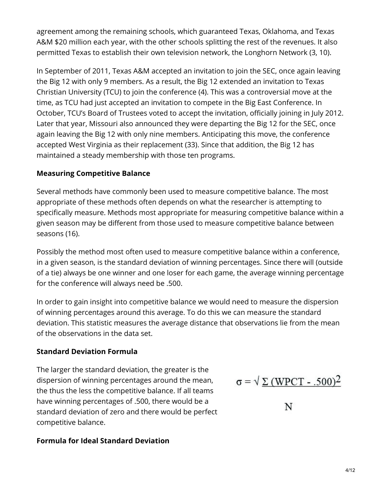agreement among the remaining schools, which guaranteed Texas, Oklahoma, and Texas A&M \$20 million each year, with the other schools splitting the rest of the revenues. It also permitted Texas to establish their own television network, the Longhorn Network (3, 10).

In September of 2011, Texas A&M accepted an invitation to join the SEC, once again leaving the Big 12 with only 9 members. As a result, the Big 12 extended an invitation to Texas Christian University (TCU) to join the conference (4). This was a controversial move at the time, as TCU had just accepted an invitation to compete in the Big East Conference. In October, TCU's Board of Trustees voted to accept the invitation, officially joining in July 2012. Later that year, Missouri also announced they were departing the Big 12 for the SEC, once again leaving the Big 12 with only nine members. Anticipating this move, the conference accepted West Virginia as their replacement (33). Since that addition, the Big 12 has maintained a steady membership with those ten programs.

# **Measuring Competitive Balance**

Several methods have commonly been used to measure competitive balance. The most appropriate of these methods often depends on what the researcher is attempting to specifically measure. Methods most appropriate for measuring competitive balance within a given season may be different from those used to measure competitive balance between seasons (16).

Possibly the method most often used to measure competitive balance within a conference, in a given season, is the standard deviation of winning percentages. Since there will (outside of a tie) always be one winner and one loser for each game, the average winning percentage for the conference will always need be .500.

In order to gain insight into competitive balance we would need to measure the dispersion of winning percentages around this average. To do this we can measure the standard deviation. This statistic measures the average distance that observations lie from the mean of the observations in the data set.

# **Standard Deviation Formula**

The larger the standard deviation, the greater is the dispersion of winning percentages around the mean, the thus the less the competitive balance. If all teams have winning percentages of .500, there would be a standard deviation of zero and there would be perfect competitive balance.

# **Formula for Ideal Standard Deviation**

 $\sigma = \sqrt{\Sigma (WPCT - .500)^2}$ 

Ν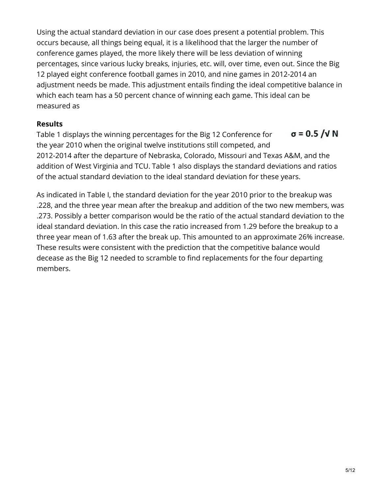Using the actual standard deviation in our case does present a potential problem. This occurs because, all things being equal, it is a likelihood that the larger the number of conference games played, the more likely there will be less deviation of winning percentages, since various lucky breaks, injuries, etc. will, over time, even out. Since the Big 12 played eight conference football games in 2010, and nine games in 2012-2014 an adjustment needs be made. This adjustment entails finding the ideal competitive balance in which each team has a 50 percent chance of winning each game. This ideal can be measured as

## **Results**

 $\sigma$  = 0.5 / $\sqrt{N}$ Table 1 displays the winning percentages for the Big 12 Conference for the year 2010 when the original twelve institutions still competed, and 2012-2014 after the departure of Nebraska, Colorado, Missouri and Texas A&M, and the addition of West Virginia and TCU. Table 1 also displays the standard deviations and ratios of the actual standard deviation to the ideal standard deviation for these years.

As indicated in Table I, the standard deviation for the year 2010 prior to the breakup was .228, and the three year mean after the breakup and addition of the two new members, was .273. Possibly a better comparison would be the ratio of the actual standard deviation to the ideal standard deviation. In this case the ratio increased from 1.29 before the breakup to a three year mean of 1.63 after the break up. This amounted to an approximate 26% increase. These results were consistent with the prediction that the competitive balance would decease as the Big 12 needed to scramble to find replacements for the four departing members.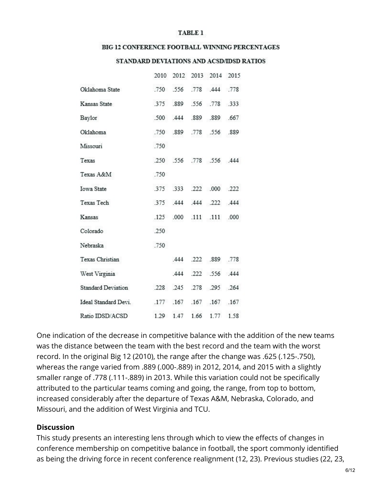#### **TABLE 1**

#### BIG 12 CONFERENCE FOOTBALL WINNING PERCENTAGES

#### STANDARD DEVIATIONS AND ACSD/IDSD RATIOS

|                           |      |               |                | 2010 2012 2013 2014 2015 |           |
|---------------------------|------|---------------|----------------|--------------------------|-----------|
| Oklahoma State            |      |               |                | .750 .556 .778 .444 .778 |           |
| Kansas State              |      | .375 .889     |                | .556 .778 .333           |           |
| Baylor                    |      | .500 .444     |                | .889 .889 .667           |           |
| Oklahoma                  |      |               | .750 .889 .778 |                          | .556 .889 |
| Missouri                  | .750 |               |                |                          |           |
| Texas                     |      |               |                | .250 .556 .778 .556 .444 |           |
| Texas A&M                 | .750 |               |                |                          |           |
| <b>Iowa State</b>         | .375 |               |                | .333 .222 .000 .222      |           |
| Texas Tech                |      |               |                | .375 .444 .444 .222 .444 |           |
| Kansas                    |      | .125 .000     |                | .111 .111 .000           |           |
| Colorado                  | .250 |               |                |                          |           |
| Nebraska                  | .750 |               |                |                          |           |
| Texas Christian           |      | .444          |                | .222 .889 .778           |           |
| West Virginia             |      | .444          |                | .222 .556 .444           |           |
| <b>Standard Deviation</b> |      |               |                | .228 .245 .278 .295 .264 |           |
| Ideal Standard Devi.      |      | $.177$ $.167$ |                | .167 .167 .167           |           |
| Ratio IDSD/ACSD           |      | 1.29 1.47     | 1.66           |                          | 1.77 1.58 |

One indication of the decrease in competitive balance with the addition of the new teams was the distance between the team with the best record and the team with the worst record. In the original Big 12 (2010), the range after the change was .625 (.125-.750), whereas the range varied from .889 (.000-.889) in 2012, 2014, and 2015 with a slightly smaller range of .778 (.111-.889) in 2013. While this variation could not be specifically attributed to the particular teams coming and going, the range, from top to bottom, increased considerably after the departure of Texas A&M, Nebraska, Colorado, and Missouri, and the addition of West Virginia and TCU.

#### **Discussion**

This study presents an interesting lens through which to view the effects of changes in conference membership on competitive balance in football, the sport commonly identified as being the driving force in recent conference realignment (12, 23). Previous studies (22, 23,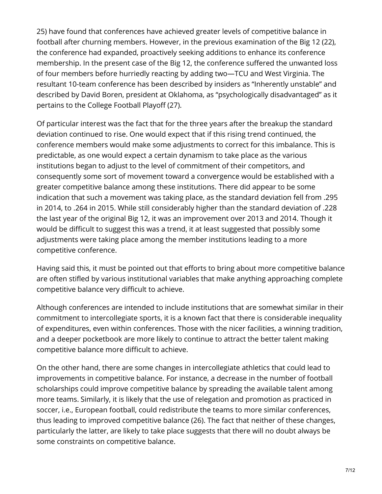25) have found that conferences have achieved greater levels of competitive balance in football after churning members. However, in the previous examination of the Big 12 (22), the conference had expanded, proactively seeking additions to enhance its conference membership. In the present case of the Big 12, the conference suffered the unwanted loss of four members before hurriedly reacting by adding two—TCU and West Virginia. The resultant 10-team conference has been described by insiders as "Inherently unstable" and described by David Boren, president at Oklahoma, as "psychologically disadvantaged" as it pertains to the College Football Playoff (27).

Of particular interest was the fact that for the three years after the breakup the standard deviation continued to rise. One would expect that if this rising trend continued, the conference members would make some adjustments to correct for this imbalance. This is predictable, as one would expect a certain dynamism to take place as the various institutions began to adjust to the level of commitment of their competitors, and consequently some sort of movement toward a convergence would be established with a greater competitive balance among these institutions. There did appear to be some indication that such a movement was taking place, as the standard deviation fell from .295 in 2014, to .264 in 2015. While still considerably higher than the standard deviation of .228 the last year of the original Big 12, it was an improvement over 2013 and 2014. Though it would be difficult to suggest this was a trend, it at least suggested that possibly some adjustments were taking place among the member institutions leading to a more competitive conference.

Having said this, it must be pointed out that efforts to bring about more competitive balance are often stifled by various institutional variables that make anything approaching complete competitive balance very difficult to achieve.

Although conferences are intended to include institutions that are somewhat similar in their commitment to intercollegiate sports, it is a known fact that there is considerable inequality of expenditures, even within conferences. Those with the nicer facilities, a winning tradition, and a deeper pocketbook are more likely to continue to attract the better talent making competitive balance more difficult to achieve.

On the other hand, there are some changes in intercollegiate athletics that could lead to improvements in competitive balance. For instance, a decrease in the number of football scholarships could improve competitive balance by spreading the available talent among more teams. Similarly, it is likely that the use of relegation and promotion as practiced in soccer, i.e., European football, could redistribute the teams to more similar conferences, thus leading to improved competitive balance (26). The fact that neither of these changes, particularly the latter, are likely to take place suggests that there will no doubt always be some constraints on competitive balance.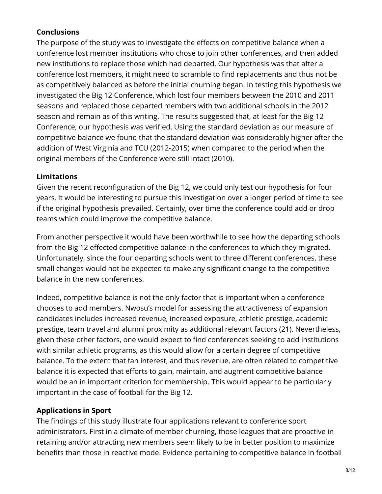# **Conclusions**

The purpose of the study was to investigate the effects on competitive balance when a conference lost member institutions who chose to join other conferences, and then added new institutions to replace those which had departed. Our hypothesis was that after a conference lost members, it might need to scramble to find replacements and thus not be as competitively balanced as before the initial churning began. In testing this hypothesis we investigated the Big 12 Conference, which lost four members between the 2010 and 2011 seasons and replaced those departed members with two additional schools in the 2012 season and remain as of this writing. The results suggested that, at least for the Big 12 Conference, our hypothesis was verified. Using the standard deviation as our measure of competitive balance we found that the standard deviation was considerably higher after the addition of West Virginia and TCU (2012-2015) when compared to the period when the original members of the Conference were still intact (2010).

# **Limitations**

Given the recent reconfiguration of the Big 12, we could only test our hypothesis for four years. It would be interesting to pursue this investigation over a longer period of time to see if the original hypothesis prevailed. Certainly, over time the conference could add or drop teams which could improve the competitive balance.

From another perspective it would have been worthwhile to see how the departing schools from the Big 12 effected competitive balance in the conferences to which they migrated. Unfortunately, since the four departing schools went to three different conferences, these small changes would not be expected to make any significant change to the competitive balance in the new conferences.

Indeed, competitive balance is not the only factor that is important when a conference chooses to add members. Nwosu's model for assessing the attractiveness of expansion candidates includes increased revenue, increased exposure, athletic prestige, academic prestige, team travel and alumni proximity as additional relevant factors (21). Nevertheless, given these other factors, one would expect to find conferences seeking to add institutions with similar athletic programs, as this would allow for a certain degree of competitive balance. To the extent that fan interest, and thus revenue, are often related to competitive balance it is expected that efforts to gain, maintain, and augment competitive balance would be an in important criterion for membership. This would appear to be particularly important in the case of football for the Big 12.

# **Applications in Sport**

The findings of this study illustrate four applications relevant to conference sport administrators. First in a climate of member churning, those leagues that are proactive in retaining and/or attracting new members seem likely to be in better position to maximize benefits than those in reactive mode. Evidence pertaining to competitive balance in football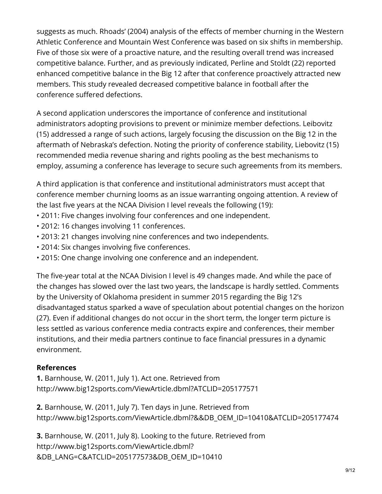suggests as much. Rhoads' (2004) analysis of the effects of member churning in the Western Athletic Conference and Mountain West Conference was based on six shifts in membership. Five of those six were of a proactive nature, and the resulting overall trend was increased competitive balance. Further, and as previously indicated, Perline and Stoldt (22) reported enhanced competitive balance in the Big 12 after that conference proactively attracted new members. This study revealed decreased competitive balance in football after the conference suffered defections.

A second application underscores the importance of conference and institutional administrators adopting provisions to prevent or minimize member defections. Leibovitz (15) addressed a range of such actions, largely focusing the discussion on the Big 12 in the aftermath of Nebraska's defection. Noting the priority of conference stability, Liebovitz (15) recommended media revenue sharing and rights pooling as the best mechanisms to employ, assuming a conference has leverage to secure such agreements from its members.

A third application is that conference and institutional administrators must accept that conference member churning looms as an issue warranting ongoing attention. A review of the last five years at the NCAA Division I level reveals the following (19):

- 2011: Five changes involving four conferences and one independent.
- 2012: 16 changes involving 11 conferences.
- 2013: 21 changes involving nine conferences and two independents.
- 2014: Six changes involving five conferences.
- 2015: One change involving one conference and an independent.

The five-year total at the NCAA Division I level is 49 changes made. And while the pace of the changes has slowed over the last two years, the landscape is hardly settled. Comments by the University of Oklahoma president in summer 2015 regarding the Big 12's disadvantaged status sparked a wave of speculation about potential changes on the horizon (27). Even if additional changes do not occur in the short term, the longer term picture is less settled as various conference media contracts expire and conferences, their member institutions, and their media partners continue to face financial pressures in a dynamic environment.

## **References**

**1.** Barnhouse, W. (2011, July 1). Act one. Retrieved from http://www.big12sports.com/ViewArticle.dbml?ATCLID=205177571

**2.** Barnhouse, W. (2011, July 7). Ten days in June. Retrieved from http://www.big12sports.com/ViewArticle.dbml?&&DB\_OEM\_ID=10410&ATCLID=205177474

**3.** Barnhouse, W. (2011, July 8). Looking to the future. Retrieved from http://www.big12sports.com/ViewArticle.dbml? &DB\_LANG=C&ATCLID=205177573&DB\_OEM\_ID=10410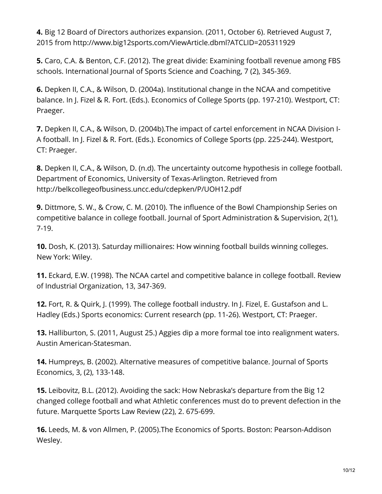**4.** Big 12 Board of Directors authorizes expansion. (2011, October 6). Retrieved August 7, 2015 from http://www.big12sports.com/ViewArticle.dbml?ATCLID=205311929

**5.** Caro, C.A. & Benton, C.F. (2012). The great divide: Examining football revenue among FBS schools. International Journal of Sports Science and Coaching, 7 (2), 345-369.

**6.** Depken II, C.A., & Wilson, D. (2004a). Institutional change in the NCAA and competitive balance. In J. Fizel & R. Fort. (Eds.). Economics of College Sports (pp. 197-210). Westport, CT: Praeger.

**7.** Depken II, C.A., & Wilson, D. (2004b).The impact of cartel enforcement in NCAA Division I-A football. In J. Fizel & R. Fort. (Eds.). Economics of College Sports (pp. 225-244). Westport, CT: Praeger.

**8.** Depken II, C.A., & Wilson, D. (n.d). The uncertainty outcome hypothesis in college football. Department of Economics, University of Texas-Arlington. Retrieved from http://belkcollegeofbusiness.uncc.edu/cdepken/P/UOH12.pdf

**9.** Dittmore, S. W., & Crow, C. M. (2010). The influence of the Bowl Championship Series on competitive balance in college football. Journal of Sport Administration & Supervision, 2(1), 7-19.

**10.** Dosh, K. (2013). Saturday millionaires: How winning football builds winning colleges. New York: Wiley.

**11.** Eckard, E.W. (1998). The NCAA cartel and competitive balance in college football. Review of Industrial Organization, 13, 347-369.

**12.** Fort, R. & Quirk, J. (1999). The college football industry. In J. Fizel, E. Gustafson and L. Hadley (Eds.) Sports economics: Current research (pp. 11-26). Westport, CT: Praeger.

**13.** Halliburton, S. (2011, August 25.) Aggies dip a more formal toe into realignment waters. Austin American-Statesman.

**14.** Humpreys, B. (2002). Alternative measures of competitive balance. Journal of Sports Economics, 3, (2), 133-148.

**15.** Leibovitz, B.L. (2012). Avoiding the sack: How Nebraska's departure from the Big 12 changed college football and what Athletic conferences must do to prevent defection in the future. Marquette Sports Law Review (22), 2. 675-699.

**16.** Leeds, M. & von Allmen, P. (2005).The Economics of Sports. Boston: Pearson-Addison Wesley.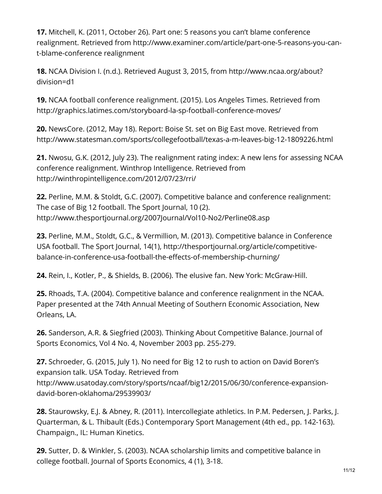**17.** Mitchell, K. (2011, October 26). Part one: 5 reasons you can't blame conference realignment. Retrieved from http://www.examiner.com/article/part-one-5-reasons-you-cant-blame-conference realignment

**18.** NCAA Division I. (n.d.). Retrieved August 3, 2015, from http://www.ncaa.org/about? division=d1

**19.** NCAA football conference realignment. (2015). Los Angeles Times. Retrieved from http://graphics.latimes.com/storyboard-la-sp-football-conference-moves/

**20.** NewsCore. (2012, May 18). Report: Boise St. set on Big East move. Retrieved from http://www.statesman.com/sports/collegefootball/texas-a-m-leaves-big-12-1809226.html

**21.** Nwosu, G.K. (2012, July 23). The realignment rating index: A new lens for assessing NCAA conference realignment. Winthrop Intelligence. Retrieved from http://winthropintelligence.com/2012/07/23/rri/

**22.** Perline, M.M. & Stoldt, G.C. (2007). Competitive balance and conference realignment: The case of Big 12 football. The Sport Journal, 10 (2). http://www.thesportjournal.org/2007Journal/Vol10-No2/Perline08.asp

**23.** Perline, M.M., Stoldt, G.C., & Vermillion, M. (2013). Competitive balance in Conference USA football. The Sport Journal, 14(1), http://thesportjournal.org/article/competitivebalance-in-conference-usa-football-the-effects-of-membership-churning/

**24.** Rein, I., Kotler, P., & Shields, B. (2006). The elusive fan. New York: McGraw-Hill.

**25.** Rhoads, T.A. (2004). Competitive balance and conference realignment in the NCAA. Paper presented at the 74th Annual Meeting of Southern Economic Association, New Orleans, LA.

**26.** Sanderson, A.R. & Siegfried (2003). Thinking About Competitive Balance. Journal of Sports Economics, Vol 4 No. 4, November 2003 pp. 255-279.

**27.** Schroeder, G. (2015, July 1). No need for Big 12 to rush to action on David Boren's expansion talk. USA Today. Retrieved from http://www.usatoday.com/story/sports/ncaaf/big12/2015/06/30/conference-expansiondavid-boren-oklahoma/29539903/

**28.** Staurowsky, E.J. & Abney, R. (2011). Intercollegiate athletics. In P.M. Pedersen, J. Parks, J. Quarterman, & L. Thibault (Eds.) Contemporary Sport Management (4th ed., pp. 142-163). Champaign., IL: Human Kinetics.

**29.** Sutter, D. & Winkler, S. (2003). NCAA scholarship limits and competitive balance in college football. Journal of Sports Economics, 4 (1), 3-18.